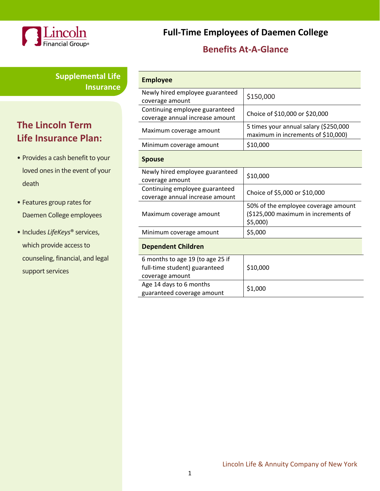

**Supplemental Life Insurance**

# **The Lincoln Term Life Insurance Plan:**

- Provides a cash benefit to your loved ones in the event of your death
- Features group rates for Daemen College employees
- Includes *LifeKeys*® services, which provide access to counseling, financial, and legal support services

**Full-Time Employees of Daemen College**

## **Benefits At-A-Glance**

| <b>Employee</b>                                                                      |                                                                                          |  |
|--------------------------------------------------------------------------------------|------------------------------------------------------------------------------------------|--|
| Newly hired employee guaranteed<br>coverage amount                                   | \$150,000                                                                                |  |
| Continuing employee guaranteed<br>coverage annual increase amount                    | Choice of \$10,000 or \$20,000                                                           |  |
| Maximum coverage amount                                                              | 5 times your annual salary (\$250,000<br>maximum in increments of \$10,000)              |  |
| Minimum coverage amount                                                              | \$10,000                                                                                 |  |
| <b>Spouse</b>                                                                        |                                                                                          |  |
| Newly hired employee guaranteed<br>coverage amount                                   | \$10,000                                                                                 |  |
| Continuing employee guaranteed<br>coverage annual increase amount                    | Choice of \$5,000 or \$10,000                                                            |  |
| Maximum coverage amount                                                              | 50% of the employee coverage amount<br>(\$125,000 maximum in increments of<br>$$5,000$ ) |  |
| Minimum coverage amount                                                              | \$5,000                                                                                  |  |
| <b>Dependent Children</b>                                                            |                                                                                          |  |
| 6 months to age 19 (to age 25 if<br>full-time student) guaranteed<br>coverage amount | \$10,000                                                                                 |  |
| Age 14 days to 6 months<br>guaranteed coverage amount                                | \$1,000                                                                                  |  |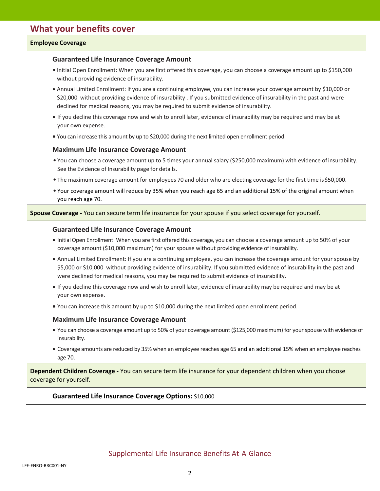### **Employee Coverage**

### **Guaranteed Life Insurance Coverage Amount**

- Initial Open Enrollment: When you are first offered this coverage, you can choose a coverage amount up to \$150,000 without providing evidence of insurability.
- Annual Limited Enrollment: If you are a continuing employee, you can increase your coverage amount by \$10,000 or \$20,000 without providing evidence of insurability . If you submitted evidence of insurability in the past and were declined for medical reasons, you may be required to submit evidence of insurability.
- If you decline this coverage now and wish to enroll later, evidence of insurability may be required and may be at your own expense.
- You can increase this amount by up to \$20,000 during the next limited open enrollment period.

### **Maximum Life Insurance Coverage Amount**

- You can choose a coverage amount up to 5 times your annual salary (\$250,000 maximum) with evidence ofinsurability. See the Evidence of Insurability page for details.
- The maximum coverage amount for employees 70 and older who are electing coverage for the first time is\$50,000.
- Your coverage amount will reduce by 35% when you reach age 65 and an additional 15% of the original amount when you reach age 70.

**Spouse Coverage -** You can secure term life insurance for your spouse if you select coverage for yourself.

#### **Guaranteed Life Insurance Coverage Amount**

- Initial Open Enrollment: When you are first offered this coverage, you can choose a coverage amount up to 50% of your coverage amount (\$10,000 maximum) for your spouse without providing evidence of insurability.
- Annual Limited Enrollment: If you are a continuing employee, you can increase the coverage amount for your spouse by \$5,000 or \$10,000 without providing evidence of insurability. If you submitted evidence of insurability in the past and were declined for medical reasons, you may be required to submit evidence of insurability.
- If you decline this coverage now and wish to enroll later, evidence of insurability may be required and may be at your own expense.
- You can increase this amount by up to \$10,000 during the next limited open enrollment period.

#### **Maximum Life Insurance Coverage Amount**

- You can choose a coverage amount up to 50% of your coverage amount (\$125,000 maximum) for your spouse with evidence of insurability.
- Coverage amounts are reduced by 35% when an employee reaches age 65 and an additional 15% when an employee reaches age 70.

**Dependent Children Coverage -** You can secure term life insurance for your dependent children when you choose coverage for yourself.

#### **Guaranteed Life Insurance Coverage Options:** \$10,000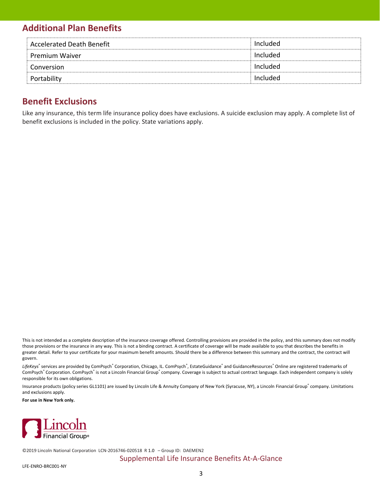## **Additional Plan Benefits**

| <b>Accelerated Death Benefit</b> | Included |
|----------------------------------|----------|
| <b>Premium Waiver</b>            | Included |
| Conversion                       | Included |
| Portability                      | Included |

## **Benefit Exclusions**

Like any insurance, this term life insurance policy does have exclusions. A suicide exclusion may apply. A complete list of benefit exclusions is included in the policy. State variations apply.

This is not intended as a complete description of the insurance coverage offered. Controlling provisions are provided in the policy, and this summary does not modify those provisions or the insurance in any way. This is not a binding contract. A certificate of coverage will be made available to you that describes the benefits in greater detail. Refer to your certificate for your maximum benefit amounts. Should there be a difference between this summary and the contract, the contract will govern.

LifeKeys<sup>®</sup> services are provided by ComPsych® Corporation, Chicago, IL. ComPsych®, EstateGuidance® and GuidanceResources® Online are registered trademarks of ComPsych® Corporation. ComPsych® is not a Lincoln Financial Group® company. Coverage is subject to actual contract language. Each independent company is solely responsible for its own obligations.

Insurance products (policy series GL1101) are issued by Lincoln Life & Annuity Company of New York (Syracuse, NY), a Lincoln Financial Group® company. Limitations and exclusions apply.

**For use in New York only.**



©2019 Lincoln National Corporation [LCN-2016746-020518 R](https://secure.reged.com/AdTrax/submissionoverview/2016746) 1.0 – Group ID: DAEMEN2

### Supplemental Life Insurance Benefits At-A-Glance

LFE-ENRO-BRC001-NY